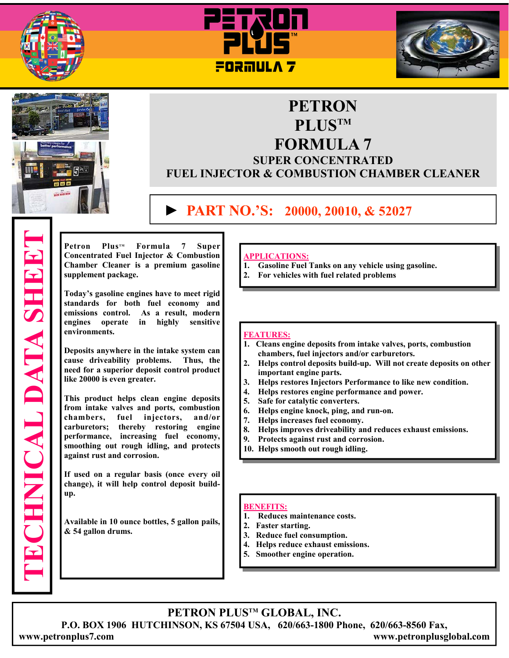







# **PETRON PLUSTM FORMULA 7**

## **SUPER CONCENTRATED FUEL INJECTOR & COMBUSTION CHAMBER CLEANER**

# **► PART NO.'S: 20000, 20010, & 52027**

Petron Plus<sup>™</sup> Formula 7 Super **Concentrated Fuel Injector & Combustion Chamber Cleaner is a premium gasoline supplement package.** 

**Today's gasoline engines have to meet rigid standards for both fuel economy and emissions control. As a result, modern engines operate in highly sensitive environments.** 

**Deposits anywhere in the intake system can cause driveability problems. Thus, the need for a superior deposit control product like 20000 is even greater.** 

**This product helps clean engine deposits from intake valves and ports, combustion chambers, fuel injectors, and/or carburetors; thereby restoring engine performance, increasing fuel economy, smoothing out rough idling, and protects against rust and corrosion.** 

**If used on a regular basis (once every oil change), it will help control deposit buildup.** 

**Available in 10 ounce bottles, 5 gallon pails, & 54 gallon drums.**

#### **APPLICATIONS:**

- **1. Gasoline Fuel Tanks on any vehicle using gasoline.**
- **2. For vehicles with fuel related problems**

#### **FEATURES:**

- **1. Cleans engine deposits from intake valves, ports, combustion chambers, fuel injectors and/or carburetors.**
- **2. Helps control deposits build-up. Will not create deposits on other important engine parts.**
- **3. Helps restores Injectors Performance to like new condition.**
- **4. Helps restores engine performance and power.**
- **5. Safe for catalytic converters.**
- **6. Helps engine knock, ping, and run-on.**
- **7. Helps increases fuel economy.**
- **8. Helps improves driveability and reduces exhaust emissions.**
- **9. Protects against rust and corrosion.**
- **10. Helps smooth out rough idling.**

#### **BENEFITS:**

- **1. Reduces maintenance costs.**
- **2. Faster starting.**
- **3. Reduce fuel consumption.**
- **4. Helps reduce exhaust emissions.**
- **5. Smoother engine operation.**

**PETRON PLUSTM GLOBAL, INC. P.O. BOX 1906 HUTCHINSON, KS 67504 USA, 620/663-1800 Phone, 620/663-8560 Fax, www.petronplus7.com www.petronplusglobal.com** 

**TECHNICAL DATA SHEET ECHNICAL DATA SHEET**